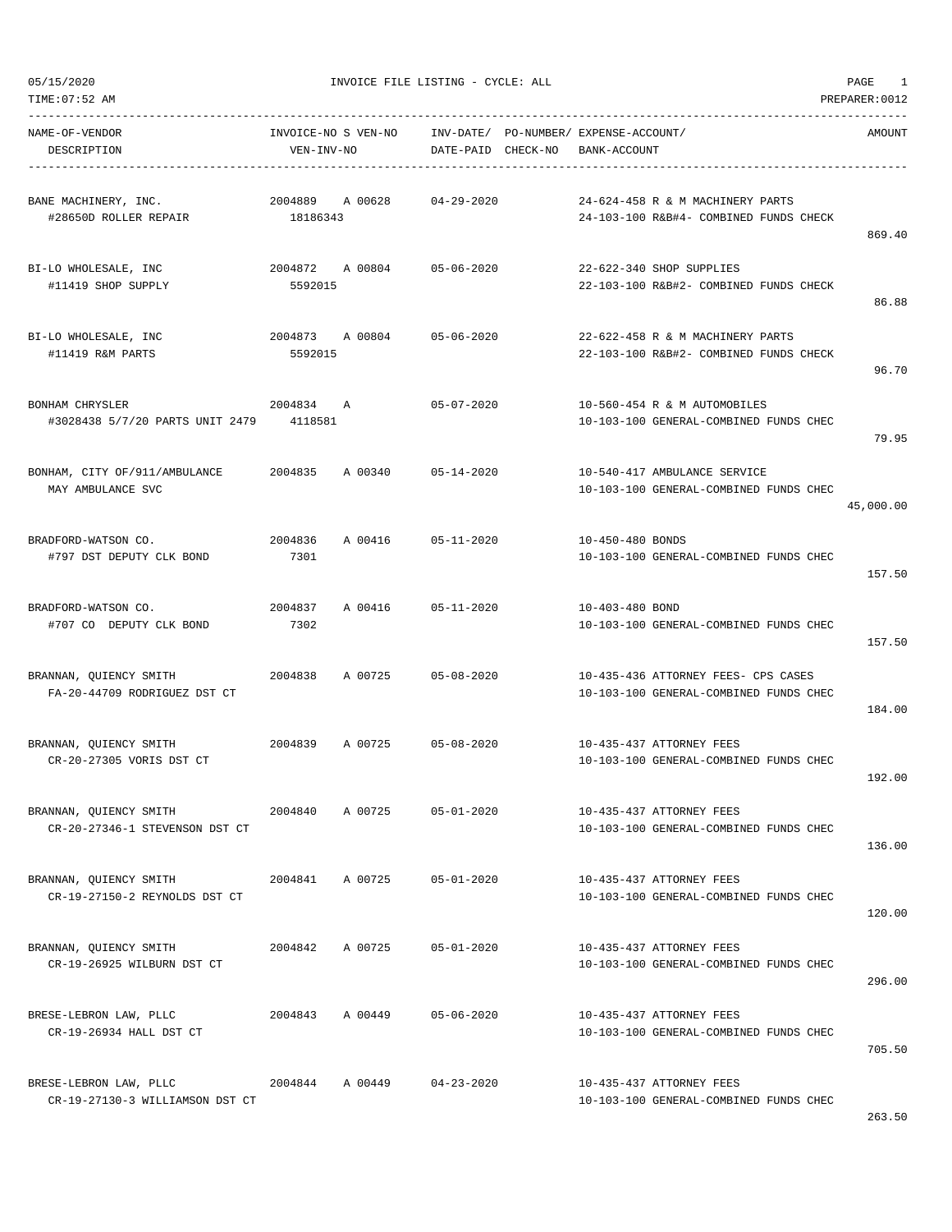DESCRIPTION VEN-INV-NO DATE-PAID CHECK-NO BANK-ACCOUNT

NAME-OF-VENDOR INVOICE-NO S VEN-NO INV-DATE/ PO-NUMBER/ EXPENSE-ACCOUNT/ AMOUNT

-----------------------------------------------------------------------------------------------------------------------------------

TIME:07:52 AM PREPARER:0012 -----------------------------------------------------------------------------------------------------------------------------------

| BANE MACHINERY, INC.                                     | 2004889 A 00628            |                            | $04 - 29 - 2020$ |                  | 24-624-458 R & M MACHINERY PARTS                                           |           |
|----------------------------------------------------------|----------------------------|----------------------------|------------------|------------------|----------------------------------------------------------------------------|-----------|
| #28650D ROLLER REPAIR                                    | 18186343                   |                            |                  |                  | 24-103-100 R&B#4- COMBINED FUNDS CHECK                                     |           |
|                                                          |                            |                            |                  |                  |                                                                            | 869.40    |
| BI-LO WHOLESALE, INC                                     | 2004872 A 00804            |                            | $05 - 06 - 2020$ |                  | 22-622-340 SHOP SUPPLIES                                                   |           |
| #11419 SHOP SUPPLY                                       | 5592015                    |                            |                  |                  | 22-103-100 R&B#2- COMBINED FUNDS CHECK                                     |           |
|                                                          |                            |                            |                  |                  |                                                                            | 86.88     |
|                                                          |                            |                            |                  |                  |                                                                            |           |
| BI-LO WHOLESALE, INC<br>#11419 R&M PARTS                 | 2004873 A 00804<br>5592015 |                            | $05 - 06 - 2020$ |                  | 22-622-458 R & M MACHINERY PARTS<br>22-103-100 R&B#2- COMBINED FUNDS CHECK |           |
|                                                          |                            |                            |                  |                  |                                                                            | 96.70     |
|                                                          |                            |                            |                  |                  |                                                                            |           |
| BONHAM CHRYSLER                                          | 2004834 A                  |                            | $05 - 07 - 2020$ |                  | 10-560-454 R & M AUTOMOBILES                                               |           |
| #3028438 5/7/20 PARTS UNIT 2479 4118581                  |                            |                            |                  |                  | 10-103-100 GENERAL-COMBINED FUNDS CHEC                                     | 79.95     |
|                                                          |                            |                            |                  |                  |                                                                            |           |
| BONHAM, CITY OF/911/AMBULANCE                            | 2004835                    | A 00340                    | $05 - 14 - 2020$ |                  | 10-540-417 AMBULANCE SERVICE                                               |           |
| MAY AMBULANCE SVC                                        |                            |                            |                  |                  | 10-103-100 GENERAL-COMBINED FUNDS CHEC                                     |           |
|                                                          |                            |                            |                  |                  |                                                                            | 45,000.00 |
| BRADFORD-WATSON CO.                                      | 2004836                    | A 00416                    | $05 - 11 - 2020$ | 10-450-480 BONDS |                                                                            |           |
| #797 DST DEPUTY CLK BOND                                 | 7301                       |                            |                  |                  | 10-103-100 GENERAL-COMBINED FUNDS CHEC                                     |           |
|                                                          |                            |                            |                  |                  |                                                                            | 157.50    |
|                                                          |                            |                            |                  |                  |                                                                            |           |
| BRADFORD-WATSON CO.                                      | 2004837                    | A 00416                    | $05 - 11 - 2020$ | 10-403-480 BOND  |                                                                            |           |
| #707 CO DEPUTY CLK BOND                                  | 7302                       |                            |                  |                  | 10-103-100 GENERAL-COMBINED FUNDS CHEC                                     | 157.50    |
|                                                          |                            |                            |                  |                  |                                                                            |           |
| BRANNAN, QUIENCY SMITH                                   | 2004838                    | A 00725                    | $05 - 08 - 2020$ |                  | 10-435-436 ATTORNEY FEES- CPS CASES                                        |           |
| FA-20-44709 RODRIGUEZ DST CT                             |                            |                            |                  |                  | 10-103-100 GENERAL-COMBINED FUNDS CHEC                                     |           |
|                                                          |                            |                            |                  |                  |                                                                            | 184.00    |
| BRANNAN, QUIENCY SMITH                                   | 2004839                    | A 00725                    | $05 - 08 - 2020$ |                  | 10-435-437 ATTORNEY FEES                                                   |           |
| CR-20-27305 VORIS DST CT                                 |                            |                            |                  |                  | 10-103-100 GENERAL-COMBINED FUNDS CHEC                                     |           |
|                                                          |                            |                            |                  |                  |                                                                            | 192.00    |
|                                                          |                            |                            |                  |                  |                                                                            |           |
| BRANNAN, QUIENCY SMITH<br>CR-20-27346-1 STEVENSON DST CT | 2004840                    | A 00725                    | $05 - 01 - 2020$ |                  | 10-435-437 ATTORNEY FEES<br>10-103-100 GENERAL-COMBINED FUNDS CHEC         |           |
|                                                          |                            |                            |                  |                  |                                                                            | 136.00    |
|                                                          |                            |                            |                  |                  |                                                                            |           |
| BRANNAN, QUIENCY SMITH                                   |                            | 2004841 A 00725            | $05 - 01 - 2020$ |                  | 10-435-437 ATTORNEY FEES                                                   |           |
| CR-19-27150-2 REYNOLDS DST CT                            |                            |                            |                  |                  | 10-103-100 GENERAL-COMBINED FUNDS CHEC                                     |           |
|                                                          |                            |                            |                  |                  |                                                                            | 120.00    |
| BRANNAN, QUIENCY SMITH                                   |                            | 2004842 A 00725 05-01-2020 |                  |                  | 10-435-437 ATTORNEY FEES                                                   |           |
| CR-19-26925 WILBURN DST CT                               |                            |                            |                  |                  | 10-103-100 GENERAL-COMBINED FUNDS CHEC                                     |           |
|                                                          |                            |                            |                  |                  |                                                                            | 296.00    |
|                                                          |                            |                            |                  |                  |                                                                            |           |
| BRESE-LEBRON LAW, PLLC<br>CR-19-26934 HALL DST CT        | 2004843                    | A 00449                    | $05 - 06 - 2020$ |                  | 10-435-437 ATTORNEY FEES<br>10-103-100 GENERAL-COMBINED FUNDS CHEC         |           |
|                                                          |                            |                            |                  |                  |                                                                            | 705.50    |
|                                                          |                            |                            |                  |                  |                                                                            |           |
| BRESE-LEBRON LAW, PLLC                                   |                            | 2004844 A 00449            | $04 - 23 - 2020$ |                  | 10-435-437 ATTORNEY FEES                                                   |           |
| CR-19-27130-3 WILLIAMSON DST CT                          |                            |                            |                  |                  | 10-103-100 GENERAL-COMBINED FUNDS CHEC                                     |           |

263.50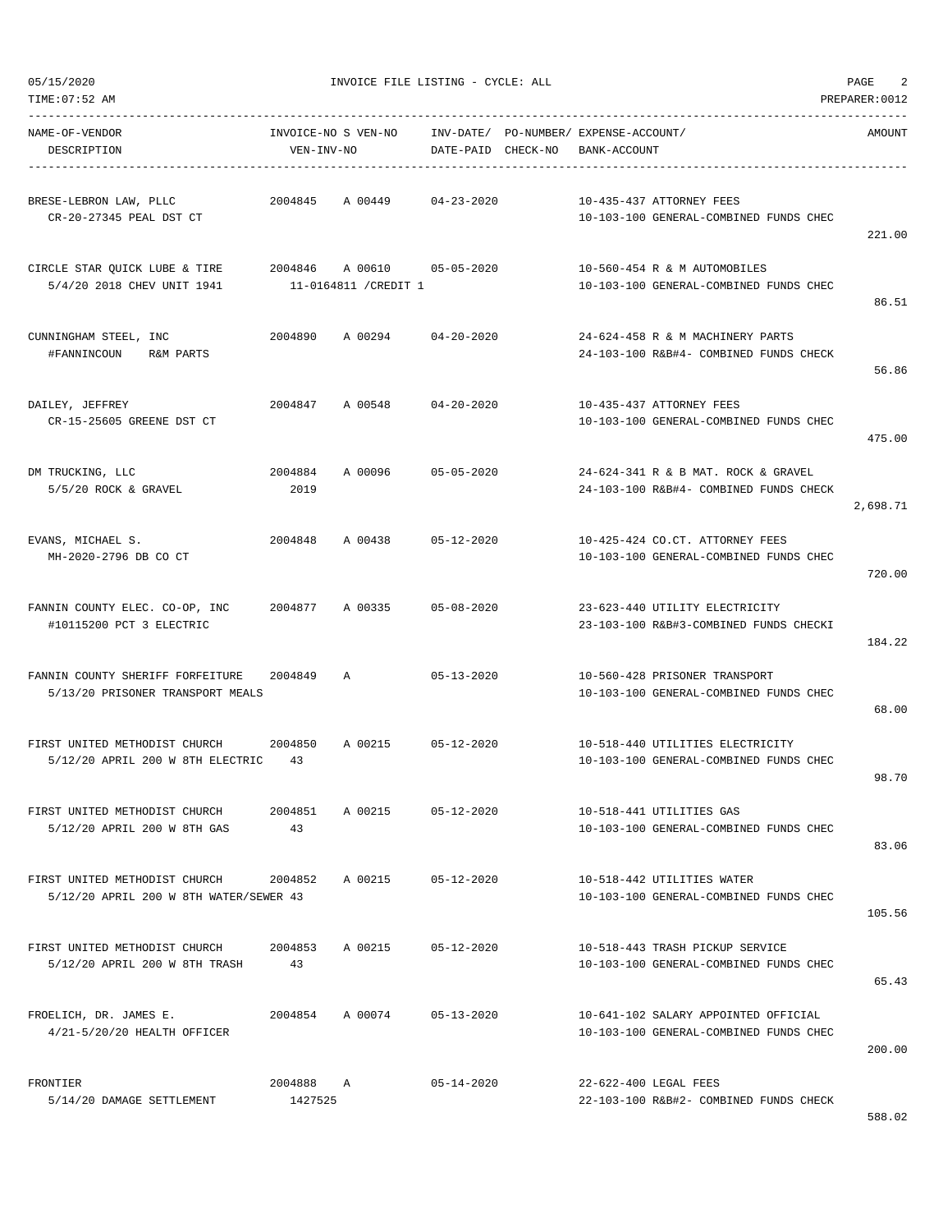| NAME-OF-VENDOR<br>DESCRIPTION                                              | INVOICE-NO S VEN-NO<br>VEN-INV-NO |                                                     | DATE-PAID CHECK-NO | INV-DATE/ PO-NUMBER/ EXPENSE-ACCOUNT/<br>BANK-ACCOUNT                          | AMOUNT   |
|----------------------------------------------------------------------------|-----------------------------------|-----------------------------------------------------|--------------------|--------------------------------------------------------------------------------|----------|
| BRESE-LEBRON LAW, PLLC<br>CR-20-27345 PEAL DST CT                          | 2004845                           | A 00449                                             | $04 - 23 - 2020$   | 10-435-437 ATTORNEY FEES<br>10-103-100 GENERAL-COMBINED FUNDS CHEC             | 221.00   |
| CIRCLE STAR QUICK LUBE & TIRE<br>5/4/20 2018 CHEV UNIT 1941                |                                   | 2004846 A 00610 05-05-2020<br>11-0164811 / CREDIT 1 |                    | 10-560-454 R & M AUTOMOBILES<br>10-103-100 GENERAL-COMBINED FUNDS CHEC         | 86.51    |
| CUNNINGHAM STEEL, INC<br>#FANNINCOUN<br>R&M PARTS                          |                                   | 2004890 A 00294 04-20-2020                          |                    | 24-624-458 R & M MACHINERY PARTS<br>24-103-100 R&B#4- COMBINED FUNDS CHECK     | 56.86    |
| DAILEY, JEFFREY<br>CR-15-25605 GREENE DST CT                               | 2004847                           | A 00548 04-20-2020                                  |                    | 10-435-437 ATTORNEY FEES<br>10-103-100 GENERAL-COMBINED FUNDS CHEC             | 475.00   |
| DM TRUCKING, LLC<br>5/5/20 ROCK & GRAVEL                                   | 2004884<br>2019                   | A 00096                                             | 05-05-2020         | 24-624-341 R & B MAT. ROCK & GRAVEL<br>24-103-100 R&B#4- COMBINED FUNDS CHECK  | 2,698.71 |
| EVANS, MICHAEL S.<br>MH-2020-2796 DB CO CT                                 |                                   | 2004848 A 00438 05-12-2020                          |                    | 10-425-424 CO.CT. ATTORNEY FEES<br>10-103-100 GENERAL-COMBINED FUNDS CHEC      | 720.00   |
| FANNIN COUNTY ELEC. CO-OP, INC 2004877 A 00335<br>#10115200 PCT 3 ELECTRIC |                                   |                                                     | 05-08-2020         | 23-623-440 UTILITY ELECTRICITY<br>23-103-100 R&B#3-COMBINED FUNDS CHECKI       | 184.22   |
| FANNIN COUNTY SHERIFF FORFEITURE<br>5/13/20 PRISONER TRANSPORT MEALS       | 2004849                           | A                                                   | $05 - 13 - 2020$   | 10-560-428 PRISONER TRANSPORT<br>10-103-100 GENERAL-COMBINED FUNDS CHEC        | 68.00    |
| FIRST UNITED METHODIST CHURCH 2004850<br>5/12/20 APRIL 200 W 8TH ELECTRIC  | 43                                | A 00215                                             | 05-12-2020         | 10-518-440 UTILITIES ELECTRICITY<br>10-103-100 GENERAL-COMBINED FUNDS CHEC     | 98.70    |
| FIRST UNITED METHODIST CHURCH<br>5/12/20 APRIL 200 W 8TH GAS               | 2004851<br>43                     | A 00215                                             | $05 - 12 - 2020$   | 10-518-441 UTILITIES GAS<br>10-103-100 GENERAL-COMBINED FUNDS CHEC             | 83.06    |
| FIRST UNITED METHODIST CHURCH<br>5/12/20 APRIL 200 W 8TH WATER/SEWER 43    | 2004852                           | A 00215                                             | $05 - 12 - 2020$   | 10-518-442 UTILITIES WATER<br>10-103-100 GENERAL-COMBINED FUNDS CHEC           | 105.56   |
| FIRST UNITED METHODIST CHURCH<br>5/12/20 APRIL 200 W 8TH TRASH             | 2004853<br>43                     | A 00215                                             | 05-12-2020         | 10-518-443 TRASH PICKUP SERVICE<br>10-103-100 GENERAL-COMBINED FUNDS CHEC      | 65.43    |
| FROELICH, DR. JAMES E.<br>4/21-5/20/20 HEALTH OFFICER                      | 2004854                           | A 00074                                             | $05 - 13 - 2020$   | 10-641-102 SALARY APPOINTED OFFICIAL<br>10-103-100 GENERAL-COMBINED FUNDS CHEC | 200.00   |
| FRONTIER<br>5/14/20 DAMAGE SETTLEMENT                                      | 2004888 A<br>1427525              |                                                     | $05 - 14 - 2020$   | 22-622-400 LEGAL FEES<br>22-103-100 R&B#2- COMBINED FUNDS CHECK                |          |

588.02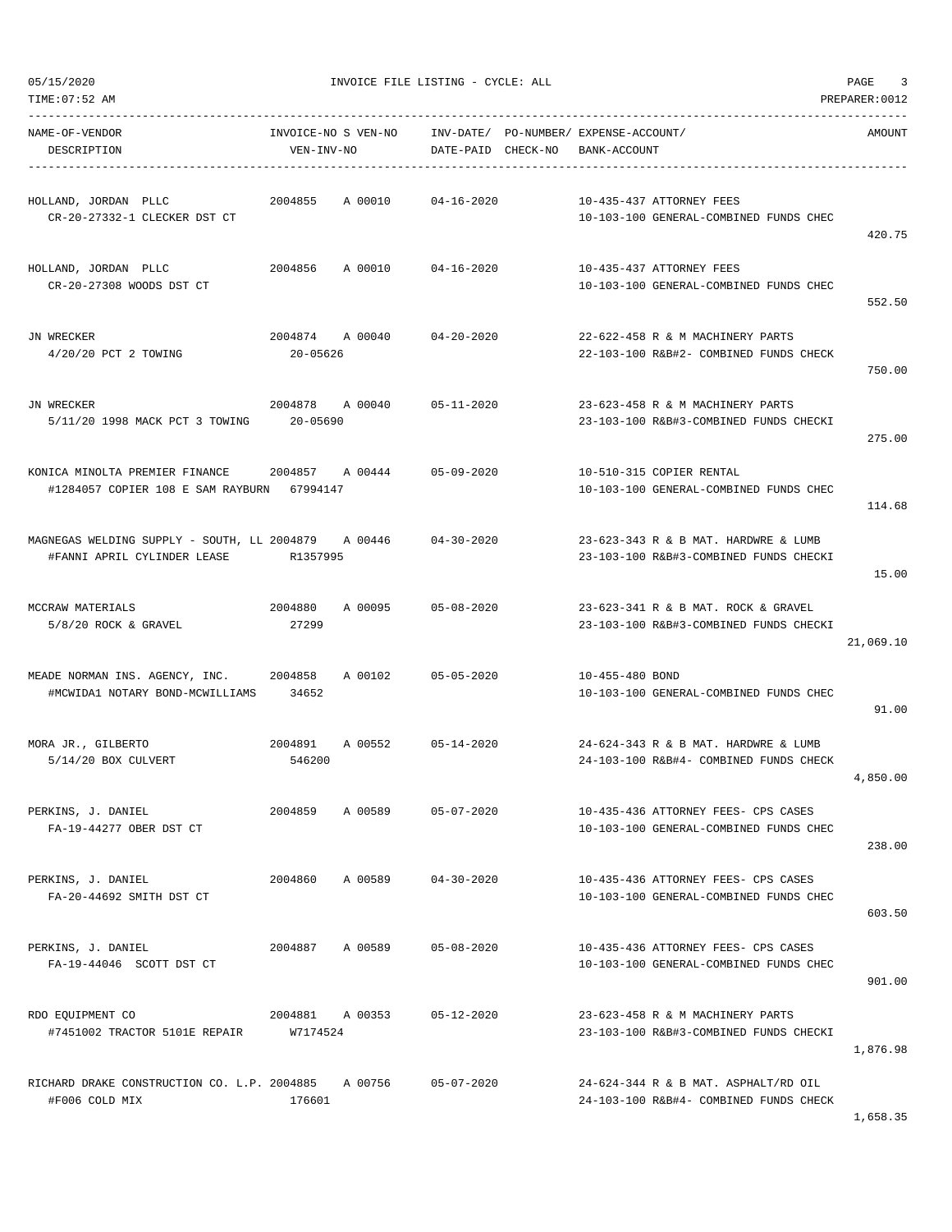| TIME:07:52 AM                                                                          |                                   |                            |                  |                                                                                | PREPARER: 0012 |
|----------------------------------------------------------------------------------------|-----------------------------------|----------------------------|------------------|--------------------------------------------------------------------------------|----------------|
| NAME-OF-VENDOR<br>DESCRIPTION                                                          | INVOICE-NO S VEN-NO<br>VEN-INV-NO |                            |                  | INV-DATE/ PO-NUMBER/ EXPENSE-ACCOUNT/<br>DATE-PAID CHECK-NO BANK-ACCOUNT       | AMOUNT         |
| HOLLAND, JORDAN PLLC<br>CR-20-27332-1 CLECKER DST CT                                   | 2004855                           | A 00010 04-16-2020         |                  | 10-435-437 ATTORNEY FEES<br>10-103-100 GENERAL-COMBINED FUNDS CHEC             | 420.75         |
| HOLLAND, JORDAN PLLC<br>CR-20-27308 WOODS DST CT                                       | 2004856                           | A 00010 04-16-2020         |                  | 10-435-437 ATTORNEY FEES<br>10-103-100 GENERAL-COMBINED FUNDS CHEC             | 552.50         |
| JN WRECKER<br>4/20/20 PCT 2 TOWING                                                     | 20-05626                          | 2004874 A 00040            | 04-20-2020       | 22-622-458 R & M MACHINERY PARTS<br>22-103-100 R&B#2- COMBINED FUNDS CHECK     | 750.00         |
| JN WRECKER<br>5/11/20 1998 MACK PCT 3 TOWING                                           | 20-05690                          | 2004878 A 00040 05-11-2020 |                  | 23-623-458 R & M MACHINERY PARTS<br>23-103-100 R&B#3-COMBINED FUNDS CHECKI     | 275.00         |
| #1284057 COPIER 108 E SAM RAYBURN 67994147                                             |                                   |                            |                  | 10-510-315 COPIER RENTAL<br>10-103-100 GENERAL-COMBINED FUNDS CHEC             | 114.68         |
| MAGNEGAS WELDING SUPPLY - SOUTH, LL 2004879     A 00446<br>#FANNI APRIL CYLINDER LEASE | R1357995                          |                            | 04-30-2020       | 23-623-343 R & B MAT. HARDWRE & LUMB<br>23-103-100 R&B#3-COMBINED FUNDS CHECKI | 15.00          |
| MCCRAW MATERIALS<br>$5/8/20$ ROCK & GRAVEL                                             | 2004880<br>27299                  | A 00095                    | 05-08-2020       | 23-623-341 R & B MAT. ROCK & GRAVEL<br>23-103-100 R&B#3-COMBINED FUNDS CHECKI  | 21,069.10      |
| MEADE NORMAN INS. AGENCY, INC. 2004858<br>#MCWIDA1 NOTARY BOND-MCWILLIAMS 34652        |                                   | A 00102 05-05-2020         |                  | 10-455-480 BOND<br>10-103-100 GENERAL-COMBINED FUNDS CHEC                      | 91.00          |
| MORA JR., GILBERTO<br>5/14/20 BOX CULVERT                                              | 2004891<br>546200                 | A 00552 05-14-2020         |                  | 24-624-343 R & B MAT. HARDWRE & LUMB<br>24-103-100 R&B#4- COMBINED FUNDS CHECK | 4,850.00       |
| PERKINS, J. DANIEL<br>FA-19-44277 OBER DST CT                                          | 2004859                           | A 00589                    | $05 - 07 - 2020$ | 10-435-436 ATTORNEY FEES- CPS CASES<br>10-103-100 GENERAL-COMBINED FUNDS CHEC  | 238.00         |
| PERKINS, J. DANIEL<br>FA-20-44692 SMITH DST CT                                         | 2004860                           | A 00589                    | 04-30-2020       | 10-435-436 ATTORNEY FEES- CPS CASES<br>10-103-100 GENERAL-COMBINED FUNDS CHEC  | 603.50         |
| PERKINS, J. DANIEL<br>FA-19-44046 SCOTT DST CT                                         | 2004887                           | A 00589                    | $05 - 08 - 2020$ | 10-435-436 ATTORNEY FEES- CPS CASES<br>10-103-100 GENERAL-COMBINED FUNDS CHEC  | 901.00         |
| RDO EQUIPMENT CO<br>#7451002 TRACTOR 5101E REPAIR W7174524                             | 2004881 A 00353                   |                            | $05 - 12 - 2020$ | 23-623-458 R & M MACHINERY PARTS<br>23-103-100 R&B#3-COMBINED FUNDS CHECKI     | 1,876.98       |
| RICHARD DRAKE CONSTRUCTION CO. L.P. 2004885 A 00756<br>#F006 COLD MIX                  | 176601                            |                            | $05 - 07 - 2020$ | 24-624-344 R & B MAT. ASPHALT/RD OIL<br>24-103-100 R&B#4- COMBINED FUNDS CHECK |                |

1,658.35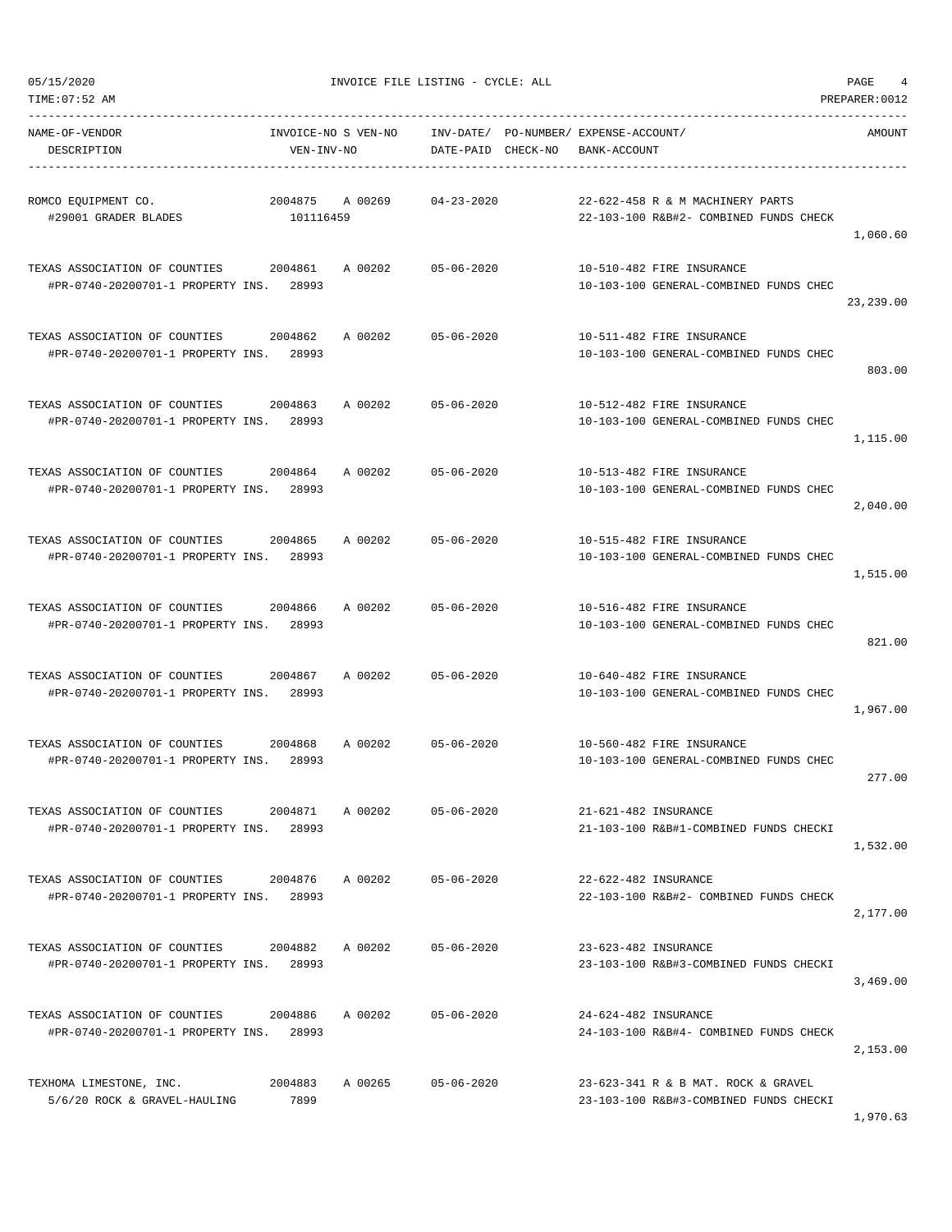| NAME-OF-VENDOR<br>DESCRIPTION                                            | INVOICE-NO S VEN-NO<br>VEN-INV-NO |         | DATE-PAID CHECK-NO | INV-DATE/ PO-NUMBER/ EXPENSE-ACCOUNT/<br>BANK-ACCOUNT |                                                                               | AMOUNT     |
|--------------------------------------------------------------------------|-----------------------------------|---------|--------------------|-------------------------------------------------------|-------------------------------------------------------------------------------|------------|
| ROMCO EOUIPMENT CO.<br>#29001 GRADER BLADES                              | 2004875<br>101116459              | A 00269 | $04 - 23 - 2020$   |                                                       | 22-622-458 R & M MACHINERY PARTS<br>22-103-100 R&B#2- COMBINED FUNDS CHECK    | 1,060.60   |
| TEXAS ASSOCIATION OF COUNTIES<br>#PR-0740-20200701-1 PROPERTY INS.       | 2004861<br>28993                  | A 00202 | $05 - 06 - 2020$   |                                                       | 10-510-482 FIRE INSURANCE<br>10-103-100 GENERAL-COMBINED FUNDS CHEC           | 23, 239.00 |
| TEXAS ASSOCIATION OF COUNTIES<br>#PR-0740-20200701-1 PROPERTY INS. 28993 | 2004862                           | A 00202 | $05 - 06 - 2020$   |                                                       | 10-511-482 FIRE INSURANCE<br>10-103-100 GENERAL-COMBINED FUNDS CHEC           | 803.00     |
| TEXAS ASSOCIATION OF COUNTIES<br>#PR-0740-20200701-1 PROPERTY INS. 28993 | 2004863                           | A 00202 | $05 - 06 - 2020$   |                                                       | 10-512-482 FIRE INSURANCE<br>10-103-100 GENERAL-COMBINED FUNDS CHEC           | 1,115.00   |
| TEXAS ASSOCIATION OF COUNTIES<br>#PR-0740-20200701-1 PROPERTY INS. 28993 | 2004864                           | A 00202 | $05 - 06 - 2020$   |                                                       | 10-513-482 FIRE INSURANCE<br>10-103-100 GENERAL-COMBINED FUNDS CHEC           | 2,040.00   |
| TEXAS ASSOCIATION OF COUNTIES<br>#PR-0740-20200701-1 PROPERTY INS. 28993 | 2004865                           | A 00202 | $05 - 06 - 2020$   |                                                       | 10-515-482 FIRE INSURANCE<br>10-103-100 GENERAL-COMBINED FUNDS CHEC           | 1,515.00   |
| TEXAS ASSOCIATION OF COUNTIES<br>#PR-0740-20200701-1 PROPERTY INS.       | 2004866<br>28993                  | A 00202 | $05 - 06 - 2020$   |                                                       | 10-516-482 FIRE INSURANCE<br>10-103-100 GENERAL-COMBINED FUNDS CHEC           | 821.00     |
| TEXAS ASSOCIATION OF COUNTIES<br>#PR-0740-20200701-1 PROPERTY INS.       | 2004867<br>28993                  | A 00202 | $05 - 06 - 2020$   |                                                       | 10-640-482 FIRE INSURANCE<br>10-103-100 GENERAL-COMBINED FUNDS CHEC           | 1,967.00   |
| TEXAS ASSOCIATION OF COUNTIES<br>#PR-0740-20200701-1 PROPERTY INS. 28993 | 2004868                           |         | A 00202 05-06-2020 |                                                       | 10-560-482 FIRE INSURANCE<br>10-103-100 GENERAL-COMBINED FUNDS CHEC           | 277.00     |
| TEXAS ASSOCIATION OF COUNTIES<br>#PR-0740-20200701-1 PROPERTY INS. 28993 | 2004871                           | A 00202 | $05 - 06 - 2020$   | 21-621-482 INSURANCE                                  | 21-103-100 R&B#1-COMBINED FUNDS CHECKI                                        | 1,532.00   |
| TEXAS ASSOCIATION OF COUNTIES<br>#PR-0740-20200701-1 PROPERTY INS. 28993 | 2004876                           | A 00202 | $05 - 06 - 2020$   | 22-622-482 INSURANCE                                  | 22-103-100 R&B#2- COMBINED FUNDS CHECK                                        | 2,177.00   |
| TEXAS ASSOCIATION OF COUNTIES<br>#PR-0740-20200701-1 PROPERTY INS. 28993 | 2004882                           | A 00202 | $05 - 06 - 2020$   | 23-623-482 INSURANCE                                  | 23-103-100 R&B#3-COMBINED FUNDS CHECKI                                        | 3,469.00   |
| TEXAS ASSOCIATION OF COUNTIES<br>#PR-0740-20200701-1 PROPERTY INS. 28993 | 2004886                           | A 00202 | $05 - 06 - 2020$   | 24-624-482 INSURANCE                                  | 24-103-100 R&B#4- COMBINED FUNDS CHECK                                        | 2,153.00   |
| TEXHOMA LIMESTONE, INC.<br>5/6/20 ROCK & GRAVEL-HAULING                  | 2004883<br>7899                   | A 00265 | $05 - 06 - 2020$   |                                                       | 23-623-341 R & B MAT. ROCK & GRAVEL<br>23-103-100 R&B#3-COMBINED FUNDS CHECKI |            |

1,970.63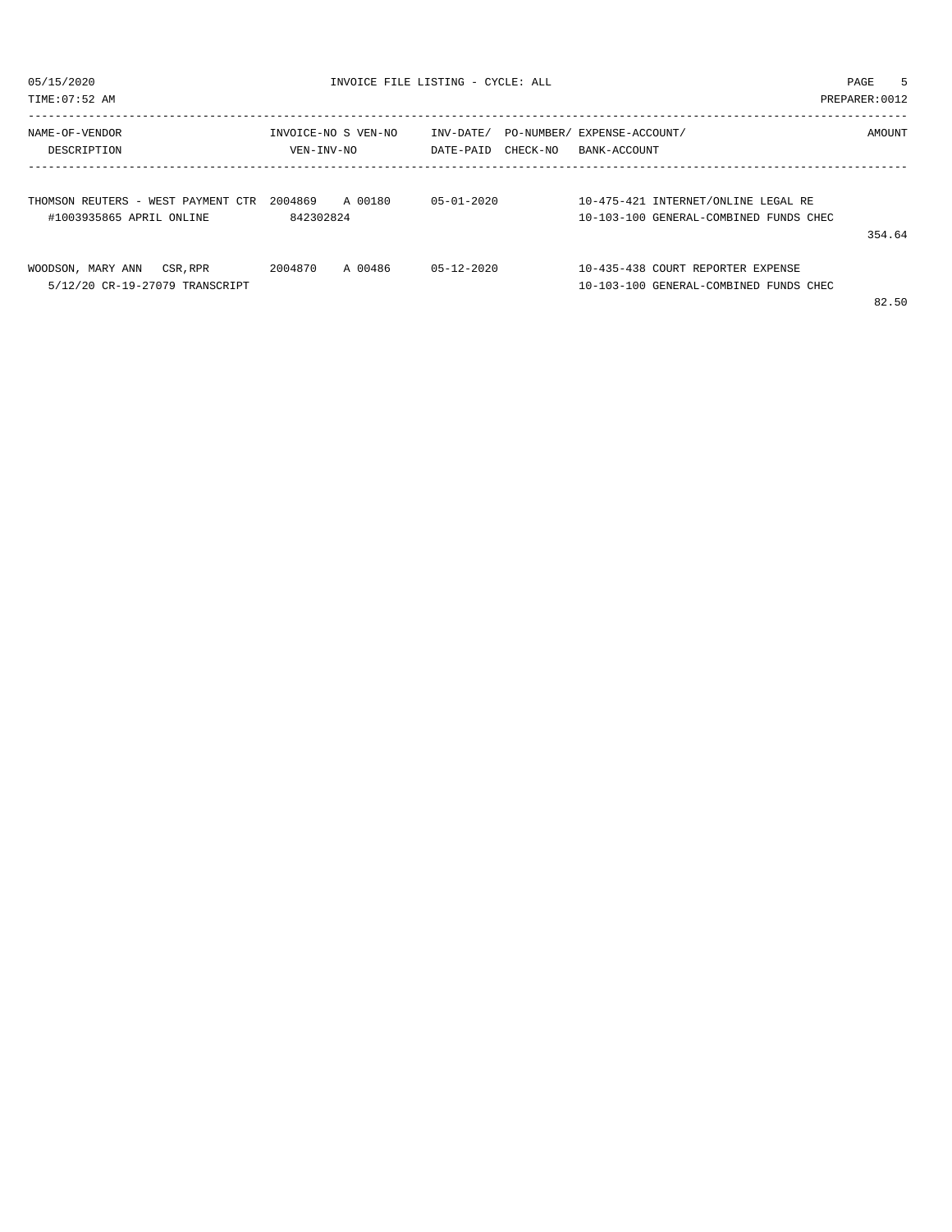| 05/15/2020<br>TIME: 07:52 AM                                    | INVOICE FILE LISTING - CYCLE: ALL | PAGE<br>PREPARER: 0012             | 5                                                                                       |  |
|-----------------------------------------------------------------|-----------------------------------|------------------------------------|-----------------------------------------------------------------------------------------|--|
| NAME-OF-VENDOR<br>DESCRIPTION                                   | INVOICE-NO S VEN-NO<br>VEN-INV-NO | INV-DATE/<br>CHECK-NO<br>DATE-PAID | PO-NUMBER/ EXPENSE-ACCOUNT/<br>AMOUNT<br>BANK-ACCOUNT                                   |  |
| THOMSON REUTERS - WEST PAYMENT CTR<br>#1003935865 APRIL ONLINE  | 2004869<br>A 00180<br>842302824   | $0.5 - 0.1 - 2.0.20$               | 10-475-421 INTERNET/ONLINE LEGAL RE<br>10-103-100 GENERAL-COMBINED FUNDS CHEC<br>354.64 |  |
| WOODSON, MARY ANN<br>CSR, RPR<br>5/12/20 CR-19-27079 TRANSCRIPT | 2004870<br>A 00486                | $0.5 - 1.2 - 2.0.20$               | 10-435-438 COURT REPORTER EXPENSE<br>10-103-100 GENERAL-COMBINED FUNDS CHEC<br>82.50    |  |